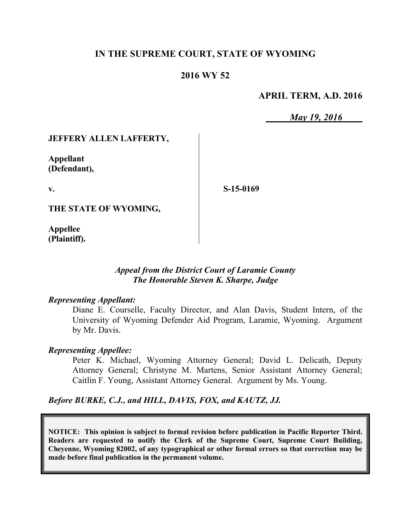### **IN THE SUPREME COURT, STATE OF WYOMING**

### **2016 WY 52**

### **APRIL TERM, A.D. 2016**

*May 19, 2016*

### **JEFFERY ALLEN LAFFERTY,**

**Appellant (Defendant),**

**v.**

**S-15-0169**

**THE STATE OF WYOMING,**

**Appellee (Plaintiff).**

### *Appeal from the District Court of Laramie County The Honorable Steven K. Sharpe, Judge*

#### *Representing Appellant:*

Diane E. Courselle, Faculty Director, and Alan Davis, Student Intern, of the University of Wyoming Defender Aid Program, Laramie, Wyoming. Argument by Mr. Davis.

#### *Representing Appellee:*

Peter K. Michael, Wyoming Attorney General; David L. Delicath, Deputy Attorney General; Christyne M. Martens, Senior Assistant Attorney General; Caitlin F. Young, Assistant Attorney General. Argument by Ms. Young.

*Before BURKE, C.J., and HILL, DAVIS, FOX, and KAUTZ, JJ.*

**NOTICE: This opinion is subject to formal revision before publication in Pacific Reporter Third. Readers are requested to notify the Clerk of the Supreme Court, Supreme Court Building, Cheyenne, Wyoming 82002, of any typographical or other formal errors so that correction may be made before final publication in the permanent volume.**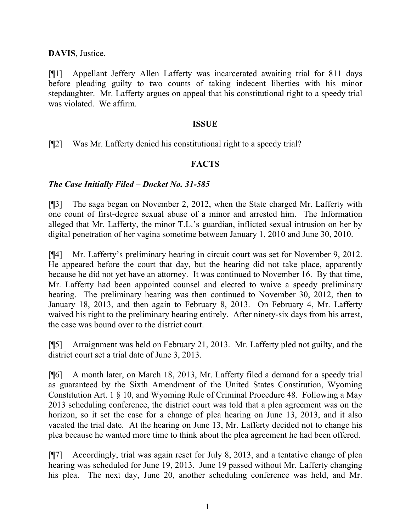**DAVIS**, Justice.

[¶1] Appellant Jeffery Allen Lafferty was incarcerated awaiting trial for 811 days before pleading guilty to two counts of taking indecent liberties with his minor stepdaughter. Mr. Lafferty argues on appeal that his constitutional right to a speedy trial was violated. We affirm.

#### **ISSUE**

[¶2] Was Mr. Lafferty denied his constitutional right to a speedy trial?

### **FACTS**

### *The Case Initially Filed – Docket No. 31-585*

[¶3] The saga began on November 2, 2012, when the State charged Mr. Lafferty with one count of first-degree sexual abuse of a minor and arrested him. The Information alleged that Mr. Lafferty, the minor T.L.'s guardian, inflicted sexual intrusion on her by digital penetration of her vagina sometime between January 1, 2010 and June 30, 2010.

[¶4] Mr. Lafferty's preliminary hearing in circuit court was set for November 9, 2012. He appeared before the court that day, but the hearing did not take place, apparently because he did not yet have an attorney. It was continued to November 16. By that time, Mr. Lafferty had been appointed counsel and elected to waive a speedy preliminary hearing. The preliminary hearing was then continued to November 30, 2012, then to January 18, 2013, and then again to February 8, 2013. On February 4, Mr. Lafferty waived his right to the preliminary hearing entirely. After ninety-six days from his arrest, the case was bound over to the district court.

[¶5] Arraignment was held on February 21, 2013. Mr. Lafferty pled not guilty, and the district court set a trial date of June 3, 2013.

[¶6] A month later, on March 18, 2013, Mr. Lafferty filed a demand for a speedy trial as guaranteed by the Sixth Amendment of the United States Constitution, Wyoming Constitution Art. 1 § 10, and Wyoming Rule of Criminal Procedure 48. Following a May 2013 scheduling conference, the district court was told that a plea agreement was on the horizon, so it set the case for a change of plea hearing on June 13, 2013, and it also vacated the trial date. At the hearing on June 13, Mr. Lafferty decided not to change his plea because he wanted more time to think about the plea agreement he had been offered.

[¶7] Accordingly, trial was again reset for July 8, 2013, and a tentative change of plea hearing was scheduled for June 19, 2013. June 19 passed without Mr. Lafferty changing his plea. The next day, June 20, another scheduling conference was held, and Mr.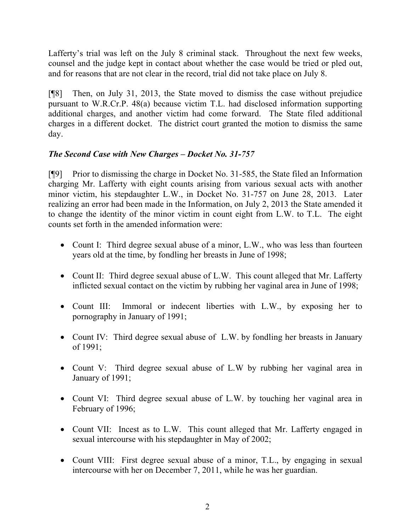Lafferty's trial was left on the July 8 criminal stack. Throughout the next few weeks, counsel and the judge kept in contact about whether the case would be tried or pled out, and for reasons that are not clear in the record, trial did not take place on July 8.

[¶8] Then, on July 31, 2013, the State moved to dismiss the case without prejudice pursuant to W.R.Cr.P. 48(a) because victim T.L. had disclosed information supporting additional charges, and another victim had come forward. The State filed additional charges in a different docket. The district court granted the motion to dismiss the same day.

# *The Second Case with New Charges – Docket No. 31-757*

[¶9] Prior to dismissing the charge in Docket No. 31-585, the State filed an Information charging Mr. Lafferty with eight counts arising from various sexual acts with another minor victim, his stepdaughter L.W., in Docket No. 31-757 on June 28, 2013. Later realizing an error had been made in the Information, on July 2, 2013 the State amended it to change the identity of the minor victim in count eight from L.W. to T.L. The eight counts set forth in the amended information were:

- Count I: Third degree sexual abuse of a minor, L.W., who was less than fourteen years old at the time, by fondling her breasts in June of 1998;
- Count II: Third degree sexual abuse of L.W. This count alleged that Mr. Lafferty inflicted sexual contact on the victim by rubbing her vaginal area in June of 1998;
- Count III: Immoral or indecent liberties with L.W., by exposing her to pornography in January of 1991;
- Count IV: Third degree sexual abuse of L.W. by fondling her breasts in January of 1991;
- Count V: Third degree sexual abuse of L.W by rubbing her vaginal area in January of 1991;
- Count VI: Third degree sexual abuse of L.W. by touching her vaginal area in February of 1996;
- Count VII: Incest as to L.W. This count alleged that Mr. Lafferty engaged in sexual intercourse with his stepdaughter in May of 2002;
- Count VIII: First degree sexual abuse of a minor, T.L., by engaging in sexual intercourse with her on December 7, 2011, while he was her guardian.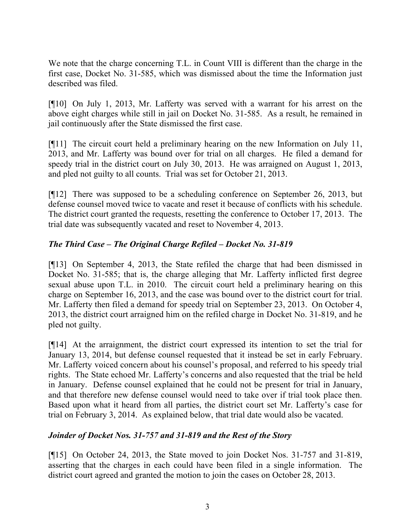We note that the charge concerning T.L. in Count VIII is different than the charge in the first case, Docket No. 31-585, which was dismissed about the time the Information just described was filed.

[¶10] On July 1, 2013, Mr. Lafferty was served with a warrant for his arrest on the above eight charges while still in jail on Docket No. 31-585. As a result, he remained in jail continuously after the State dismissed the first case.

[¶11] The circuit court held a preliminary hearing on the new Information on July 11, 2013, and Mr. Lafferty was bound over for trial on all charges. He filed a demand for speedy trial in the district court on July 30, 2013. He was arraigned on August 1, 2013, and pled not guilty to all counts. Trial was set for October 21, 2013.

[¶12] There was supposed to be a scheduling conference on September 26, 2013, but defense counsel moved twice to vacate and reset it because of conflicts with his schedule. The district court granted the requests, resetting the conference to October 17, 2013. The trial date was subsequently vacated and reset to November 4, 2013.

# *The Third Case – The Original Charge Refiled – Docket No. 31-819*

[¶13] On September 4, 2013, the State refiled the charge that had been dismissed in Docket No. 31-585; that is, the charge alleging that Mr. Lafferty inflicted first degree sexual abuse upon T.L. in 2010. The circuit court held a preliminary hearing on this charge on September 16, 2013, and the case was bound over to the district court for trial. Mr. Lafferty then filed a demand for speedy trial on September 23, 2013. On October 4, 2013, the district court arraigned him on the refiled charge in Docket No. 31-819, and he pled not guilty.

[¶14] At the arraignment, the district court expressed its intention to set the trial for January 13, 2014, but defense counsel requested that it instead be set in early February. Mr. Lafferty voiced concern about his counsel's proposal, and referred to his speedy trial rights. The State echoed Mr. Lafferty's concerns and also requested that the trial be held in January. Defense counsel explained that he could not be present for trial in January, and that therefore new defense counsel would need to take over if trial took place then. Based upon what it heard from all parties, the district court set Mr. Lafferty's case for trial on February 3, 2014. As explained below, that trial date would also be vacated.

# *Joinder of Docket Nos. 31-757 and 31-819 and the Rest of the Story*

[¶15] On October 24, 2013, the State moved to join Docket Nos. 31-757 and 31-819, asserting that the charges in each could have been filed in a single information. The district court agreed and granted the motion to join the cases on October 28, 2013.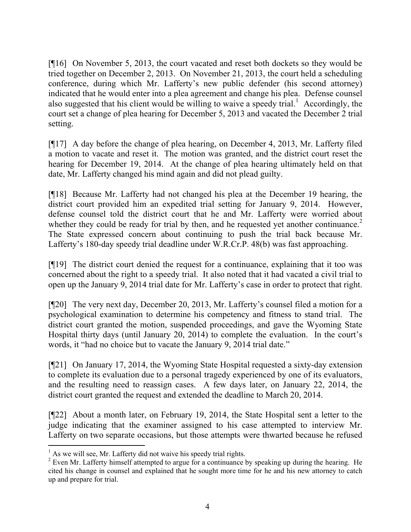[¶16] On November 5, 2013, the court vacated and reset both dockets so they would be tried together on December 2, 2013. On November 21, 2013, the court held a scheduling conference, during which Mr. Lafferty's new public defender (his second attorney) indicated that he would enter into a plea agreement and change his plea. Defense counsel also suggested that his client would be willing to waive a speedy trial.<sup>1</sup> Accordingly, the court set a change of plea hearing for December 5, 2013 and vacated the December 2 trial setting.

[¶17] A day before the change of plea hearing, on December 4, 2013, Mr. Lafferty filed a motion to vacate and reset it. The motion was granted, and the district court reset the hearing for December 19, 2014. At the change of plea hearing ultimately held on that date, Mr. Lafferty changed his mind again and did not plead guilty.

[¶18] Because Mr. Lafferty had not changed his plea at the December 19 hearing, the district court provided him an expedited trial setting for January 9, 2014. However, defense counsel told the district court that he and Mr. Lafferty were worried about whether they could be ready for trial by then, and he requested yet another continuance.<sup>2</sup> The State expressed concern about continuing to push the trial back because Mr. Lafferty's 180-day speedy trial deadline under W.R.Cr.P. 48(b) was fast approaching.

[¶19] The district court denied the request for a continuance, explaining that it too was concerned about the right to a speedy trial. It also noted that it had vacated a civil trial to open up the January 9, 2014 trial date for Mr. Lafferty's case in order to protect that right.

[¶20] The very next day, December 20, 2013, Mr. Lafferty's counsel filed a motion for a psychological examination to determine his competency and fitness to stand trial. The district court granted the motion, suspended proceedings, and gave the Wyoming State Hospital thirty days (until January 20, 2014) to complete the evaluation. In the court's words, it "had no choice but to vacate the January 9, 2014 trial date."

[¶21] On January 17, 2014, the Wyoming State Hospital requested a sixty-day extension to complete its evaluation due to a personal tragedy experienced by one of its evaluators, and the resulting need to reassign cases. A few days later, on January 22, 2014, the district court granted the request and extended the deadline to March 20, 2014.

[¶22] About a month later, on February 19, 2014, the State Hospital sent a letter to the judge indicating that the examiner assigned to his case attempted to interview Mr. Lafferty on two separate occasions, but those attempts were thwarted because he refused

l

 $<sup>1</sup>$  As we will see, Mr. Lafferty did not waive his speedy trial rights.</sup>

<sup>&</sup>lt;sup>2</sup> Even Mr. Lafferty himself attempted to argue for a continuance by speaking up during the hearing. He cited his change in counsel and explained that he sought more time for he and his new attorney to catch up and prepare for trial.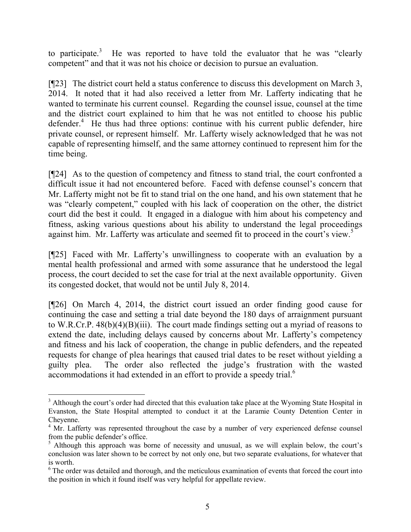to participate.<sup>3</sup> He was reported to have told the evaluator that he was "clearly competent" and that it was not his choice or decision to pursue an evaluation.

[¶23] The district court held a status conference to discuss this development on March 3, 2014. It noted that it had also received a letter from Mr. Lafferty indicating that he wanted to terminate his current counsel. Regarding the counsel issue, counsel at the time and the district court explained to him that he was not entitled to choose his public defender.<sup>4</sup> He thus had three options: continue with his current public defender, hire private counsel, or represent himself. Mr. Lafferty wisely acknowledged that he was not capable of representing himself, and the same attorney continued to represent him for the time being.

[¶24] As to the question of competency and fitness to stand trial, the court confronted a difficult issue it had not encountered before. Faced with defense counsel's concern that Mr. Lafferty might not be fit to stand trial on the one hand, and his own statement that he was "clearly competent," coupled with his lack of cooperation on the other, the district court did the best it could. It engaged in a dialogue with him about his competency and fitness, asking various questions about his ability to understand the legal proceedings against him. Mr. Lafferty was articulate and seemed fit to proceed in the court's view.<sup>5</sup>

[¶25] Faced with Mr. Lafferty's unwillingness to cooperate with an evaluation by a mental health professional and armed with some assurance that he understood the legal process, the court decided to set the case for trial at the next available opportunity. Given its congested docket, that would not be until July 8, 2014.

[¶26] On March 4, 2014, the district court issued an order finding good cause for continuing the case and setting a trial date beyond the 180 days of arraignment pursuant to W.R.Cr.P. 48(b)(4)(B)(iii). The court made findings setting out a myriad of reasons to extend the date, including delays caused by concerns about Mr. Lafferty's competency and fitness and his lack of cooperation, the change in public defenders, and the repeated requests for change of plea hearings that caused trial dates to be reset without yielding a guilty plea. The order also reflected the judge's frustration with the wasted accommodations it had extended in an effort to provide a speedy trial.<sup>6</sup>

 $\overline{a}$ 

<sup>&</sup>lt;sup>3</sup> Although the court's order had directed that this evaluation take place at the Wyoming State Hospital in Evanston, the State Hospital attempted to conduct it at the Laramie County Detention Center in Cheyenne.

<sup>&</sup>lt;sup>4</sup> Mr. Lafferty was represented throughout the case by a number of very experienced defense counsel from the public defender's office.

<sup>&</sup>lt;sup>5</sup> Although this approach was borne of necessity and unusual, as we will explain below, the court's conclusion was later shown to be correct by not only one, but two separate evaluations, for whatever that is worth.

<sup>&</sup>lt;sup>6</sup> The order was detailed and thorough, and the meticulous examination of events that forced the court into the position in which it found itself was very helpful for appellate review.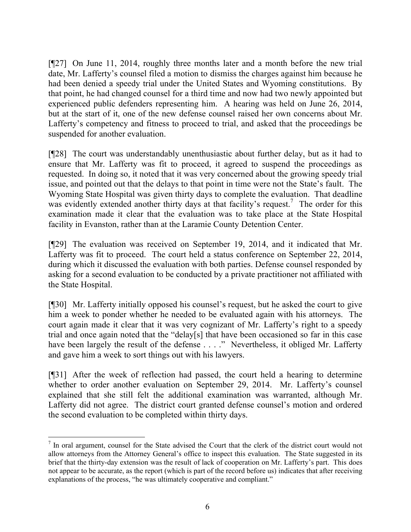[¶27] On June 11, 2014, roughly three months later and a month before the new trial date, Mr. Lafferty's counsel filed a motion to dismiss the charges against him because he had been denied a speedy trial under the United States and Wyoming constitutions. By that point, he had changed counsel for a third time and now had two newly appointed but experienced public defenders representing him. A hearing was held on June 26, 2014, but at the start of it, one of the new defense counsel raised her own concerns about Mr. Lafferty's competency and fitness to proceed to trial, and asked that the proceedings be suspended for another evaluation.

[¶28] The court was understandably unenthusiastic about further delay, but as it had to ensure that Mr. Lafferty was fit to proceed, it agreed to suspend the proceedings as requested. In doing so, it noted that it was very concerned about the growing speedy trial issue, and pointed out that the delays to that point in time were not the State's fault. The Wyoming State Hospital was given thirty days to complete the evaluation. That deadline was evidently extended another thirty days at that facility's request.<sup>7</sup> The order for this examination made it clear that the evaluation was to take place at the State Hospital facility in Evanston, rather than at the Laramie County Detention Center.

[¶29] The evaluation was received on September 19, 2014, and it indicated that Mr. Lafferty was fit to proceed. The court held a status conference on September 22, 2014, during which it discussed the evaluation with both parties. Defense counsel responded by asking for a second evaluation to be conducted by a private practitioner not affiliated with the State Hospital.

[¶30] Mr. Lafferty initially opposed his counsel's request, but he asked the court to give him a week to ponder whether he needed to be evaluated again with his attorneys. The court again made it clear that it was very cognizant of Mr. Lafferty's right to a speedy trial and once again noted that the "delay[s] that have been occasioned so far in this case have been largely the result of the defense . . . ." Nevertheless, it obliged Mr. Lafferty and gave him a week to sort things out with his lawyers.

[¶31] After the week of reflection had passed, the court held a hearing to determine whether to order another evaluation on September 29, 2014. Mr. Lafferty's counsel explained that she still felt the additional examination was warranted, although Mr. Lafferty did not agree. The district court granted defense counsel's motion and ordered the second evaluation to be completed within thirty days.

 $\overline{a}$ 

<sup>&</sup>lt;sup>7</sup> In oral argument, counsel for the State advised the Court that the clerk of the district court would not allow attorneys from the Attorney General's office to inspect this evaluation. The State suggested in its brief that the thirty-day extension was the result of lack of cooperation on Mr. Lafferty's part. This does not appear to be accurate, as the report (which is part of the record before us) indicates that after receiving explanations of the process, "he was ultimately cooperative and compliant."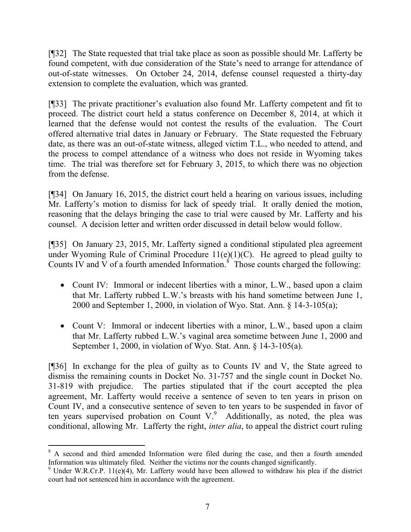[¶32] The State requested that trial take place as soon as possible should Mr. Lafferty be found competent, with due consideration of the State's need to arrange for attendance of out-of-state witnesses. On October 24, 2014, defense counsel requested a thirty-day extension to complete the evaluation, which was granted.

[¶33] The private practitioner's evaluation also found Mr. Lafferty competent and fit to proceed. The district court held a status conference on December 8, 2014, at which it learned that the defense would not contest the results of the evaluation. The Court offered alternative trial dates in January or February. The State requested the February date, as there was an out-of-state witness, alleged victim T.L., who needed to attend, and the process to compel attendance of a witness who does not reside in Wyoming takes time. The trial was therefore set for February 3, 2015, to which there was no objection from the defense.

[¶34] On January 16, 2015, the district court held a hearing on various issues, including Mr. Lafferty's motion to dismiss for lack of speedy trial. It orally denied the motion, reasoning that the delays bringing the case to trial were caused by Mr. Lafferty and his counsel. A decision letter and written order discussed in detail below would follow.

[¶35] On January 23, 2015, Mr. Lafferty signed a conditional stipulated plea agreement under Wyoming Rule of Criminal Procedure  $11(e)(1)(C)$ . He agreed to plead guilty to Counts IV and V of a fourth amended Information.<sup>8</sup> Those counts charged the following:

- Count IV: Immoral or indecent liberties with a minor, L.W., based upon a claim that Mr. Lafferty rubbed L.W.'s breasts with his hand sometime between June 1, 2000 and September 1, 2000, in violation of Wyo. Stat. Ann. § 14-3-105(a);
- Count V: Immoral or indecent liberties with a minor, L.W., based upon a claim that Mr. Lafferty rubbed L.W.'s vaginal area sometime between June 1, 2000 and September 1, 2000, in violation of Wyo. Stat. Ann. § 14-3-105(a).

[¶36] In exchange for the plea of guilty as to Counts IV and V, the State agreed to dismiss the remaining counts in Docket No. 31-757 and the single count in Docket No. 31-819 with prejudice. The parties stipulated that if the court accepted the plea agreement, Mr. Lafferty would receive a sentence of seven to ten years in prison on Count IV, and a consecutive sentence of seven to ten years to be suspended in favor of ten years supervised probation on Count V. $9$  Additionally, as noted, the plea was conditional, allowing Mr. Lafferty the right, *inter alia*, to appeal the district court ruling

l

<sup>&</sup>lt;sup>8</sup> A second and third amended Information were filed during the case, and then a fourth amended Information was ultimately filed. Neither the victims nor the counts changed significantly.

 $9$  Under W.R.Cr.P. 11(e)(4), Mr. Lafferty would have been allowed to withdraw his plea if the district court had not sentenced him in accordance with the agreement.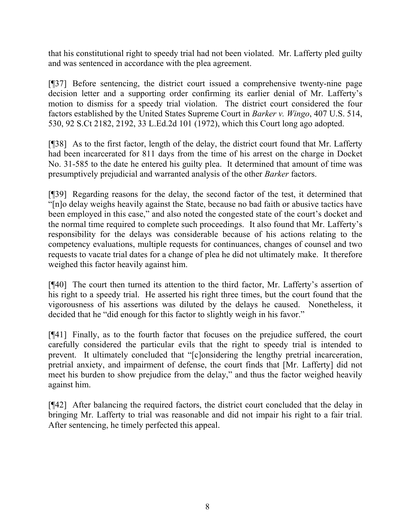that his constitutional right to speedy trial had not been violated. Mr. Lafferty pled guilty and was sentenced in accordance with the plea agreement.

[¶37] Before sentencing, the district court issued a comprehensive twenty-nine page decision letter and a supporting order confirming its earlier denial of Mr. Lafferty's motion to dismiss for a speedy trial violation. The district court considered the four factors established by the United States Supreme Court in *Barker v. Wingo*, 407 U.S. 514, 530, 92 S.Ct 2182, 2192, 33 L.Ed.2d 101 (1972), which this Court long ago adopted.

[¶38] As to the first factor, length of the delay, the district court found that Mr. Lafferty had been incarcerated for 811 days from the time of his arrest on the charge in Docket No. 31-585 to the date he entered his guilty plea. It determined that amount of time was presumptively prejudicial and warranted analysis of the other *Barker* factors.

[¶39] Regarding reasons for the delay, the second factor of the test, it determined that "[n]o delay weighs heavily against the State, because no bad faith or abusive tactics have been employed in this case," and also noted the congested state of the court's docket and the normal time required to complete such proceedings. It also found that Mr. Lafferty's responsibility for the delays was considerable because of his actions relating to the competency evaluations, multiple requests for continuances, changes of counsel and two requests to vacate trial dates for a change of plea he did not ultimately make. It therefore weighed this factor heavily against him.

[¶40] The court then turned its attention to the third factor, Mr. Lafferty's assertion of his right to a speedy trial. He asserted his right three times, but the court found that the vigorousness of his assertions was diluted by the delays he caused. Nonetheless, it decided that he "did enough for this factor to slightly weigh in his favor."

[¶41] Finally, as to the fourth factor that focuses on the prejudice suffered, the court carefully considered the particular evils that the right to speedy trial is intended to prevent. It ultimately concluded that "[c]onsidering the lengthy pretrial incarceration, pretrial anxiety, and impairment of defense, the court finds that [Mr. Lafferty] did not meet his burden to show prejudice from the delay," and thus the factor weighed heavily against him.

[¶42] After balancing the required factors, the district court concluded that the delay in bringing Mr. Lafferty to trial was reasonable and did not impair his right to a fair trial. After sentencing, he timely perfected this appeal.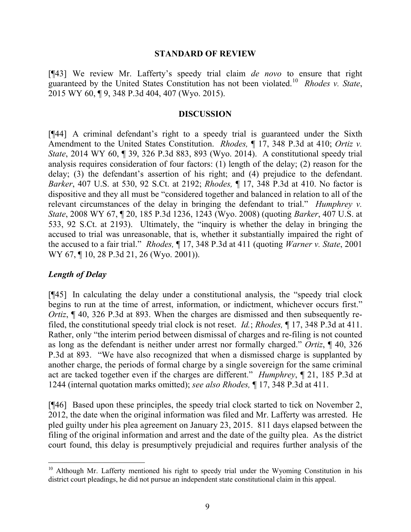#### **STANDARD OF REVIEW**

[¶43] We review Mr. Lafferty's speedy trial claim *de novo* to ensure that right guaranteed by the United States Constitution has not been violated.<sup>10</sup> *Rhodes v. State*, 2015 WY 60, ¶ 9, 348 P.3d 404, 407 (Wyo. 2015).

#### **DISCUSSION**

[¶44] A criminal defendant's right to a speedy trial is guaranteed under the Sixth Amendment to the United States Constitution. *Rhodes,* ¶ 17, 348 P.3d at 410; *Ortiz v. State*, 2014 WY 60, ¶ 39, 326 P.3d 883, 893 (Wyo. 2014). A constitutional speedy trial analysis requires consideration of four factors: (1) length of the delay; (2) reason for the delay; (3) the defendant's assertion of his right; and (4) prejudice to the defendant. *Barker*, 407 U.S. at 530, 92 S.Ct. at 2192; *Rhodes,* ¶ 17, 348 P.3d at 410. No factor is dispositive and they all must be "considered together and balanced in relation to all of the relevant circumstances of the delay in bringing the defendant to trial." *Humphrey v. State*, 2008 WY 67, ¶ 20, 185 P.3d 1236, 1243 (Wyo. 2008) (quoting *Barker*, 407 U.S. at 533, 92 S.Ct. at 2193). Ultimately, the "inquiry is whether the delay in bringing the accused to trial was unreasonable, that is, whether it substantially impaired the right of the accused to a fair trial." *Rhodes,* ¶ 17, 348 P.3d at 411 (quoting *Warner v. State*, 2001 WY 67, ¶ 10, 28 P.3d 21, 26 (Wyo. 2001)).

#### *Length of Delay*

[¶45] In calculating the delay under a constitutional analysis, the "speedy trial clock begins to run at the time of arrest, information, or indictment, whichever occurs first." *Ortiz*,  $\P$  40, 326 P.3d at 893. When the charges are dismissed and then subsequently refiled, the constitutional speedy trial clock is not reset. *Id.*; *Rhodes,* ¶ 17, 348 P.3d at 411. Rather, only "the interim period between dismissal of charges and re-filing is not counted as long as the defendant is neither under arrest nor formally charged." *Ortiz*, ¶ 40, 326 P.3d at 893. "We have also recognized that when a dismissed charge is supplanted by another charge, the periods of formal charge by a single sovereign for the same criminal act are tacked together even if the charges are different." *Humphrey*, ¶ 21, 185 P.3d at 1244 (internal quotation marks omitted); *see also Rhodes,* ¶ 17, 348 P.3d at 411.

[¶46] Based upon these principles, the speedy trial clock started to tick on November 2, 2012, the date when the original information was filed and Mr. Lafferty was arrested. He pled guilty under his plea agreement on January 23, 2015. 811 days elapsed between the filing of the original information and arrest and the date of the guilty plea. As the district court found, this delay is presumptively prejudicial and requires further analysis of the

<sup>&</sup>lt;sup>10</sup> Although Mr. Lafferty mentioned his right to speedy trial under the Wyoming Constitution in his district court pleadings, he did not pursue an independent state constitutional claim in this appeal.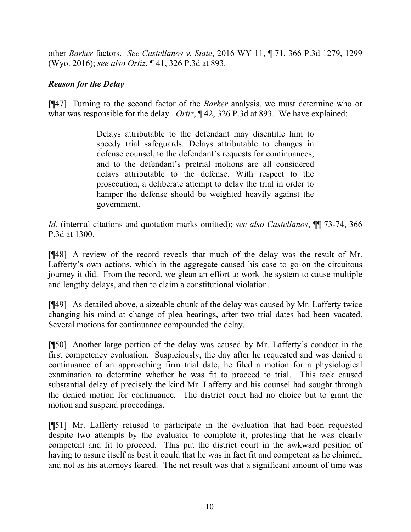other *Barker* factors. *See Castellanos v. State*, 2016 WY 11, ¶ 71, 366 P.3d 1279, 1299 (Wyo. 2016); *see also Ortiz*, ¶ 41, 326 P.3d at 893.

# *Reason for the Delay*

[¶47] Turning to the second factor of the *Barker* analysis, we must determine who or what was responsible for the delay. *Ortiz*,  $\P$  42, 326 P.3d at 893. We have explained:

> Delays attributable to the defendant may disentitle him to speedy trial safeguards. Delays attributable to changes in defense counsel, to the defendant's requests for continuances, and to the defendant's pretrial motions are all considered delays attributable to the defense. With respect to the prosecution, a deliberate attempt to delay the trial in order to hamper the defense should be weighted heavily against the government.

*Id.* (internal citations and quotation marks omitted); *see also Castellanos*, ¶¶ 73-74, 366 P.3d at 1300.

[¶48] A review of the record reveals that much of the delay was the result of Mr. Lafferty's own actions, which in the aggregate caused his case to go on the circuitous journey it did. From the record, we glean an effort to work the system to cause multiple and lengthy delays, and then to claim a constitutional violation.

[¶49] As detailed above, a sizeable chunk of the delay was caused by Mr. Lafferty twice changing his mind at change of plea hearings, after two trial dates had been vacated. Several motions for continuance compounded the delay.

[¶50] Another large portion of the delay was caused by Mr. Lafferty's conduct in the first competency evaluation. Suspiciously, the day after he requested and was denied a continuance of an approaching firm trial date, he filed a motion for a physiological examination to determine whether he was fit to proceed to trial. This tack caused substantial delay of precisely the kind Mr. Lafferty and his counsel had sought through the denied motion for continuance. The district court had no choice but to grant the motion and suspend proceedings.

[¶51] Mr. Lafferty refused to participate in the evaluation that had been requested despite two attempts by the evaluator to complete it, protesting that he was clearly competent and fit to proceed. This put the district court in the awkward position of having to assure itself as best it could that he was in fact fit and competent as he claimed, and not as his attorneys feared. The net result was that a significant amount of time was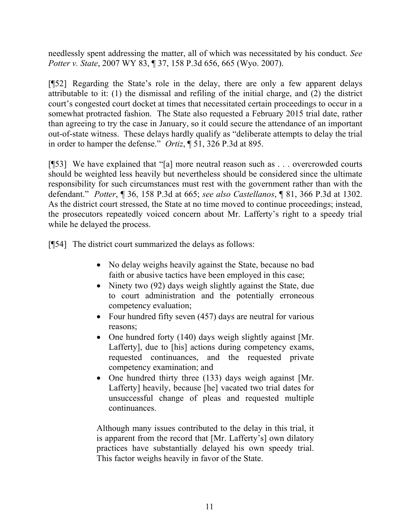needlessly spent addressing the matter, all of which was necessitated by his conduct. *See Potter v. State*, 2007 WY 83, ¶ 37, 158 P.3d 656, 665 (Wyo. 2007).

[¶52] Regarding the State's role in the delay, there are only a few apparent delays attributable to it: (1) the dismissal and refiling of the initial charge, and (2) the district court's congested court docket at times that necessitated certain proceedings to occur in a somewhat protracted fashion. The State also requested a February 2015 trial date, rather than agreeing to try the case in January, so it could secure the attendance of an important out-of-state witness. These delays hardly qualify as "deliberate attempts to delay the trial in order to hamper the defense." *Ortiz*, ¶ 51, 326 P.3d at 895.

[¶53] We have explained that "[a] more neutral reason such as . . . overcrowded courts should be weighted less heavily but nevertheless should be considered since the ultimate responsibility for such circumstances must rest with the government rather than with the defendant." *Potter*, ¶ 36, 158 P.3d at 665; *see also Castellanos*, ¶ 81, 366 P.3d at 1302. As the district court stressed, the State at no time moved to continue proceedings; instead, the prosecutors repeatedly voiced concern about Mr. Lafferty's right to a speedy trial while he delayed the process.

[¶54] The district court summarized the delays as follows:

- No delay weighs heavily against the State, because no bad faith or abusive tactics have been employed in this case;
- Ninety two (92) days weigh slightly against the State, due to court administration and the potentially erroneous competency evaluation;
- Four hundred fifty seven (457) days are neutral for various reasons;
- One hundred forty (140) days weigh slightly against [Mr. Lafferty], due to [his] actions during competency exams, requested continuances, and the requested private competency examination; and
- One hundred thirty three (133) days weigh against [Mr. Lafferty] heavily, because [he] vacated two trial dates for unsuccessful change of pleas and requested multiple continuances.

Although many issues contributed to the delay in this trial, it is apparent from the record that [Mr. Lafferty's] own dilatory practices have substantially delayed his own speedy trial. This factor weighs heavily in favor of the State.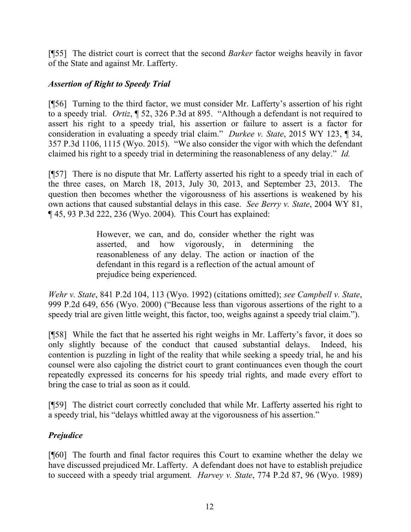[¶55] The district court is correct that the second *Barker* factor weighs heavily in favor of the State and against Mr. Lafferty.

# *Assertion of Right to Speedy Trial*

[¶56] Turning to the third factor, we must consider Mr. Lafferty's assertion of his right to a speedy trial. *Ortiz*, ¶ 52, 326 P.3d at 895. "Although a defendant is not required to assert his right to a speedy trial, his assertion or failure to assert is a factor for consideration in evaluating a speedy trial claim." *Durkee v. State*, 2015 WY 123, ¶ 34, 357 P.3d 1106, 1115 (Wyo. 2015). "We also consider the vigor with which the defendant claimed his right to a speedy trial in determining the reasonableness of any delay." *Id.* 

[¶57] There is no dispute that Mr. Lafferty asserted his right to a speedy trial in each of the three cases, on March 18, 2013, July 30, 2013, and September 23, 2013. The question then becomes whether the vigorousness of his assertions is weakened by his own actions that caused substantial delays in this case. *See Berry v. State*, 2004 WY 81, ¶ 45, 93 P.3d 222, 236 (Wyo. 2004). This Court has explained:

> However, we can, and do, consider whether the right was asserted, and how vigorously, in determining the reasonableness of any delay. The action or inaction of the defendant in this regard is a reflection of the actual amount of prejudice being experienced.

*Wehr v. State*, 841 P.2d 104, 113 (Wyo. 1992) (citations omitted); *see Campbell v. State*, 999 P.2d 649, 656 (Wyo. 2000) ("Because less than vigorous assertions of the right to a speedy trial are given little weight, this factor, too, weighs against a speedy trial claim.").

[¶58] While the fact that he asserted his right weighs in Mr. Lafferty's favor, it does so only slightly because of the conduct that caused substantial delays. Indeed, his contention is puzzling in light of the reality that while seeking a speedy trial, he and his counsel were also cajoling the district court to grant continuances even though the court repeatedly expressed its concerns for his speedy trial rights, and made every effort to bring the case to trial as soon as it could.

[¶59] The district court correctly concluded that while Mr. Lafferty asserted his right to a speedy trial, his "delays whittled away at the vigorousness of his assertion."

# *Prejudice*

[¶60] The fourth and final factor requires this Court to examine whether the delay we have discussed prejudiced Mr. Lafferty. A defendant does not have to establish prejudice to succeed with a speedy trial argument*. Harvey v. State*, 774 P.2d 87, 96 (Wyo. 1989)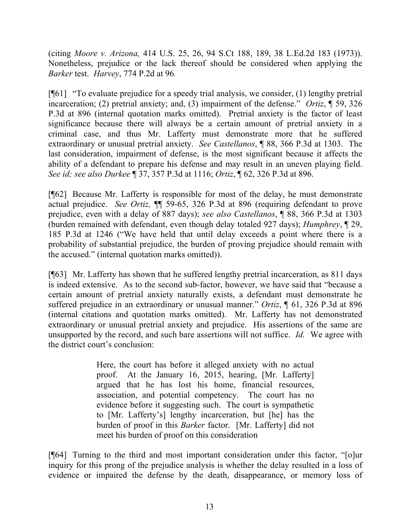(citing *Moore v. Arizona,* 414 U.S. 25, 26, 94 S.Ct 188, 189, 38 L.Ed.2d 183 (1973)). Nonetheless, prejudice or the lack thereof should be considered when applying the *Barker* test. *Harvey*, 774 P.2d at 96*.*

[¶61] "To evaluate prejudice for a speedy trial analysis, we consider, (1) lengthy pretrial incarceration; (2) pretrial anxiety; and, (3) impairment of the defense." *Ortiz*, ¶ 59, 326 P.3d at 896 (internal quotation marks omitted). Pretrial anxiety is the factor of least significance because there will always be a certain amount of pretrial anxiety in a criminal case, and thus Mr. Lafferty must demonstrate more that he suffered extraordinary or unusual pretrial anxiety. *See Castellanos*, ¶ 88, 366 P.3d at 1303. The last consideration, impairment of defense, is the most significant because it affects the ability of a defendant to prepare his defense and may result in an uneven playing field. *See id; see also Durkee* ¶ 37, 357 P.3d at 1116; *Ortiz*, ¶ 62, 326 P.3d at 896.

[¶62] Because Mr. Lafferty is responsible for most of the delay, he must demonstrate actual prejudice. *See Ortiz,* ¶¶ 59-65, 326 P.3d at 896 (requiring defendant to prove prejudice, even with a delay of 887 days); *see also Castellanos*, ¶ 88, 366 P.3d at 1303 (burden remained with defendant, even though delay totaled 927 days); *Humphrey*, ¶ 29, 185 P.3d at 1246 ("We have held that until delay exceeds a point where there is a probability of substantial prejudice, the burden of proving prejudice should remain with the accused." (internal quotation marks omitted)).

[¶63] Mr. Lafferty has shown that he suffered lengthy pretrial incarceration, as 811 days is indeed extensive. As to the second sub-factor, however, we have said that "because a certain amount of pretrial anxiety naturally exists, a defendant must demonstrate he suffered prejudice in an extraordinary or unusual manner." *Ortiz*, ¶ 61, 326 P.3d at 896 (internal citations and quotation marks omitted). Mr. Lafferty has not demonstrated extraordinary or unusual pretrial anxiety and prejudice. His assertions of the same are unsupported by the record, and such bare assertions will not suffice. *Id.* We agree with the district court's conclusion:

> Here, the court has before it alleged anxiety with no actual proof. At the January 16, 2015, hearing, [Mr. Lafferty] argued that he has lost his home, financial resources, association, and potential competency. The court has no evidence before it suggesting such. The court is sympathetic to [Mr. Lafferty's] lengthy incarceration, but [he] has the burden of proof in this *Barker* factor. [Mr. Lafferty] did not meet his burden of proof on this consideration

[¶64] Turning to the third and most important consideration under this factor, "[o]ur inquiry for this prong of the prejudice analysis is whether the delay resulted in a loss of evidence or impaired the defense by the death, disappearance, or memory loss of